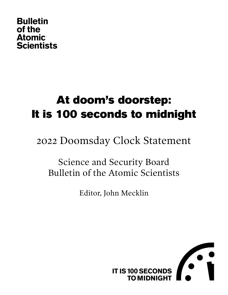### **Bulletin** of the **Atomic Scientists**

# At doom's doorstep: It is 100 seconds to midnight

# 2022 Doomsday Clock Statement

# Science and Security Board Bulletin of the Atomic Scientists

Editor, John Mecklin

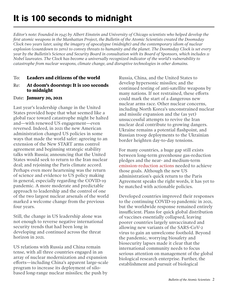*Editor's note: Founded in 1945 by Albert Einstein and University of Chicago scientists who helped develop the first atomic weapons in the Manhattan Project, the Bulletin of the Atomic Scientists created the Doomsday Clock two years later, using the imagery of apocalypse (midnight) and the contemporary idiom of nuclear explosion (countdown to zero) to convey threats to humanity and the planet. The Doomsday Clock is set every year by the Bulletin's Science and Security Board in consultation with its Board of Sponsors, which includes 11 Nobel laureates. The Clock has become a universally recognized indicator of the world's vulnerability to catastrophe from nuclear weapons, climate change, and disruptive technologies in other domains.*

#### To: **Leaders and citizens of the world**

#### Re: **At doom's doorstep: It is 100 seconds to midnight**

#### Date: **January 20, 2021**

Last year's leadership change in the United States provided hope that what seemed like a global race toward catastrophe might be halted and—with renewed US engagement—even reversed. Indeed, in 2021 the new American administration changed US policies in some ways that made the world safer: agreeing to an extension of the New START arms control agreement and beginning strategic stability talks with Russia; announcing that the United States would seek to return to the Iran nuclear deal; and rejoining the Paris climate accord. Perhaps even more heartening was the return of science and evidence to US policy making in general, especially regarding the COVID-19 pandemic. A more moderate and predictable approach to leadership and the control of one of the two largest nuclear arsenals of the world marked a welcome change from the previous four years.

Still, the change in US leadership alone was not enough to reverse negative international security trends that had been long in developing and continued across the threat horizon in 2021.

US relations with Russia and China remain tense, with all three countries engaged in an array of nuclear modernization and expansion efforts—including China's apparent large-scale program to increase its deployment of silobased long-range nuclear missiles; the push by

Russia, China, and the United States to develop hypersonic missiles; and the continued testing of anti-satellite weapons by many nations. If not restrained, these efforts could mark the start of a dangerous new nuclear arms race. Other nuclear concerns, including North Korea's unconstrained nuclear and missile expansion and the (as yet) unsuccessful attempts to revive the Iran nuclear deal contribute to growing dangers. Ukraine remains a potential flashpoint, and Russian troop deployments to the Ukrainian border heighten day-to-day tensions.

For many countries, a huge gap still exists between long-term greenhouse gas-reduction pledges and the near- and medium-term [emission-reduction actions](https://www.foreignaffairs.com/articles/2021-09-30/net-zero-trap) needed to achieve those goals. Although the new US administration's quick return to the Paris Agreement speaks the right words, it has yet to be matched with actionable policies.

Developed countries improved their responses to the continuing COVID-19 pandemic in 2021, but the worldwide response remained entirely insufficient. Plans for quick global distribution of vaccines essentially collapsed, leaving poorer countries largely unvaccinated and allowing new variants of the SARS-CoV-2 virus to gain an unwelcome foothold. Beyond the pandemic, worrying biosafety and biosecurity lapses made it clear that the international community needs to focus serious attention on management of the global biological research enterprise. Further, the establishment and pursuit of biological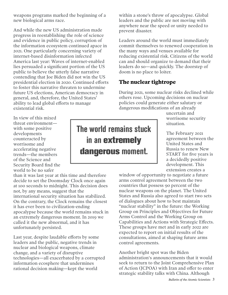weapons programs marked the beginning of a new biological arms race.

And while the new US administration made progress in reestablishing the role of science and evidence in public policy, corruption of the information ecosystem continued apace in 2021. One particularly concerning variety of internet-based disinformation infected America last year: Waves of internet-enabled lies persuaded a significant portion of the US public to believe the utterly false narrative contending that Joe Biden did not win the US presidential election in 2020. Continued efforts to foster this narrative threaten to undermine future US elections, American democracy in general, and, therefore, the United States' ability to lead global efforts to manage existential risk.

within a stone's throw of apocalypse. Global leaders and the public are not moving with anywhere near the speed or unity needed to prevent disaster.

Leaders around the world must immediately commit themselves to renewed cooperation in the many ways and venues available for reducing existential risk. Citizens of the world can and should organize to demand that their leaders do so—and quickly. The doorstep of doom is no place to loiter.

### **The nuclear tightrope**

During 2021, some nuclear risks declined while others rose. Upcoming decisions on nuclear policies could generate either salutary or dangerous modifications of an already

In view of this mixed threat environment with some positive developments counteracted by worrisome and accelerating negative trends—the members of the Science and Security Board find the world to be no safer

than it was last year at this time and therefore decide to set the Doomsday Clock once again at 100 seconds to midnight. This decision does not, by any means, suggest that the international security situation has stabilized. On the contrary, the Clock remains the closest it has ever been to civilization-ending apocalypse because the world remains stuck in an extremely dangerous moment. In 2019 we called it the new abnormal, and it has unfortunately persisted.

Last year, despite laudable efforts by some leaders and the public, negative trends in nuclear and biological weapons, climate change, and a variety of disruptive technologies—all exacerbated by a corrupted information ecosphere that undermines rational decision making—kept the world

# The world remains stuck in an **extremely dangerous** moment.

uncertain and worrisome security situation.

The February 2021 agreement between the United States and Russia to renew New START for five years is a decidedly positive development. This extension creates a

window of opportunity to negotiate a future arms control agreement between the two countries that possess 90 percent of the nuclear weapons on the planet. The United States and Russia also agreed to start two sets of dialogues about how to best maintain "nuclear stability" in the future: the Working Group on Principles and Objectives for Future Arms Control and the Working Group on Capabilities and Actions with Strategic Effects. These groups have met and in early 2022 are expected to report on initial results of the consultations, aimed at shaping future arms control agreements.

Another bright spot was the Biden administration's announcements that it would seek to return to the Joint Comprehensive Plan of Action (JCPOA) with Iran and offer to enter strategic stability talks with China. Although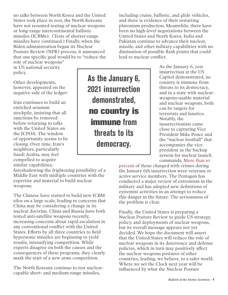no talks between North Korea and the United States took place in 2021, the North Koreans have not resumed testing of nuclear weapons or long-range intercontinental ballistic missiles (ICBMs). (Tests of shorter-range missiles have continued.) Finally, when the Biden administration began its Nuclear Posture Review (NPR) process, it announced that one specific goal would be to "reduce the

role of nuclear weapons" in US national security policy.

Other developments, however, appeared on the negative side of the ledger:

Iran continues to build an enriched uranium stockpile, insisting that all sanctions be removed before returning to talks with the United States on the JCPOA. The window of opportunity seems to be closing. Over time, Iran's neighbors, particularly Saudi Arabia, may feel compelled to acquire similar capabilities,

foreshadowing the frightening possibility of a Middle East with multiple countries with the expertise and material to build nuclear weapons.

The Chinese have started to build new ICBM silos on a large scale, leading to concerns that China may be considering a change in its nuclear doctrine. China and Russia have both tested anti-satellite weapons recently, increasing concerns about rapid escalation in any conventional conflict with the United States. Efforts by all three countries to field hypersonic missiles are beginning to yield results, intensifying competition. While experts disagree on both the causes and the consequences of these programs, they clearly mark the start of a new arms competition.

The North Koreans continue to test nuclearcapable short- and medium-range missiles,

As the January 6, 2021 insurrection demonstrated, **no country is immune** from threats to its democracy.

including cruise, ballistic, and glide vehicles, and there is evidence of their restarting plutonium production. Meanwhile, there have been no high-level negotiations between the United States and North Korea. India and Pakistan continue to advance their nuclear, missile, and other military capabilities with no diminution of possible flash points that could lead to nuclear conflict.

> As the January 6, 2021 insurrection at the US Capitol demonstrated, no country is immune from threats to its democracy, and in a state with nuclearweapons-usable material and nuclear weapons, both can be targets for terrorists and fanatics. Notably, the insurrectionists came close to capturing Vice President Mike Pence and the "nuclear football" that accompanies the vice president as the backup system for nuclear launch commands. [More than 10](https://www.cnn.com/2021/05/28/politics/capitol-insurrection-veterans/index.html)

[percent](https://www.cnn.com/2021/05/28/politics/capitol-insurrection-veterans/index.html) of those charged with crimes during the January 6th insurrection were veterans or active service members. The Pentagon has conducted a major review of extremism in the military and has adopted new definitions of extremist activities in an attempt to reduce this danger in the future. The seriousness of the problem is clear.

Finally, the United States is preparing a Nuclear Posture Review to guide US strategy, policy, and deployments of nuclear weapons, but its overall message appears not yet decided. We hope the document will assert that the United States will reduce the role of nuclear weapons in its deterrence and defense policies, which in turn may positively affect the nuclear weapons postures of other countries, leading, we believe, to a safer world. Where we set the Clock next year will be influenced by what the Nuclear Posture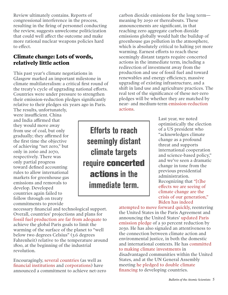Review ultimately contains. Reports of congressional interference in the process, resulting in the firing of personnel conducting the review, suggests unwelcome politicization that could well affect the outcome and make more rational nuclear weapons policies hard to effect.

### **Climate change: Lots of words, relatively little action**

This past year's climate negotiations in Glasgow marked an important milestone in climate multilateralism: a critical first round of the treaty's cycle of upgrading national efforts. Countries were under pressure to strengthen their emission-reduction pledges significantly relative to their pledges six years ago in Paris.

The results, unfortunately, were insufficient. China and India affirmed that they would move away from use of coal, but only gradually; they affirmed for the first time the objective of achieving "net zero," but only in 2060 and 2070, respectively. There was only partial progress toward defined accounting rules to allow international markets for greenhouse gas emissions and removals to develop. Developed countries again failed to follow through on treaty commitments to provide

necessary financial and technological support. Overall, countries' projections and plans fo[r](https://productiongap.org/) [fossil fuel production are far from adequate](https://productiongap.org/) to achieve the global Paris goals to limit the warming of the surface of the planet to "well below two degrees Celsius" (3.6 degrees Fahrenheit) relative to the temperature around 1800, at the beginning of the industrial revolution.

Encouragingly, [several countries](https://www.un.org/en/climatechange/net-zero-coalition) (as well as [financial institutions](https://www.nytimes.com/2021/11/03/climate/climate-summit-finance-glasgow.html) and [corporations\)](https://abcnews.go.com/US/experts-corporate-net-emissions-pledges-net-impact-climate/story?id=80798850) have announced a commitment to achieve net-zero

carbon dioxide emissions for the long term meaning by 2050 or thereabouts. These announcements are significant, in that reaching zero aggregate carbon dioxide emissions globally would halt the buildup of greenhouse gas pollution in the atmosphere, which is absolutely critical to halting yet more warming. Earnest efforts to reach these seemingly distant targets require concerted actions in the immediate term, including a redirection of investment away from the production and use of fossil fuel and toward renewables and energy efficiency, massive upgrading of existing infrastructure, and a shift in land use and agriculture practices. The real test of the significance of these net-zero pledges will be whether they are matched by near- and medium-term [emission-reduction](https://www.foreignaffairs.com/articles/2021-09-30/net-zero-trap)  [actions.](https://www.foreignaffairs.com/articles/2021-09-30/net-zero-trap)

Efforts to reach seemingly distant climate targets require **concerted actions** in the immediate term.

Last year, we noted optimistically the election of a US president who "acknowledges climate change as a profound threat and supports international cooperation and science-based policy," and we've seen a dramatic change in tone from the previous presidential administration. [Recognizing that "\[t\]he](https://www.cnn.com/2021/12/12/politics/deanne-criswell-fema-climate-change-cnntv/index.html)  eff[ects we are seeing of](https://www.cnn.com/2021/12/12/politics/deanne-criswell-fema-climate-change-cnntv/index.html)  [climate change are the](https://www.cnn.com/2021/12/12/politics/deanne-criswell-fema-climate-change-cnntv/index.html)  [crisis of our generation,"](https://www.cnn.com/2021/12/12/politics/deanne-criswell-fema-climate-change-cnntv/index.html) [Biden has indeed](https://thebulletin.org/2021/06/the-next-few-years-will-determine-our-collective-climate-future-heres-how-biden-is-measuring-up/) 

[attempted to move forward quickly, re](https://thebulletin.org/2021/06/the-next-few-years-will-determine-our-collective-climate-future-heres-how-biden-is-measuring-up/)entering the United States in the Paris Agreement and announcing the United States' [updated Paris](https://www4.unfccc.int/sites/ndcstaging/PublishedDocuments/United%20States%20of%20America%20First/United%20States%20NDC%20April%2021%202021%20Final.pdf)  [emission pledge](https://www4.unfccc.int/sites/ndcstaging/PublishedDocuments/United%20States%20of%20America%20First/United%20States%20NDC%20April%2021%202021%20Final.pdf) of a 50 percent reduction by 2030. He has also signaled an attentiveness to the connection between climate action and environmental justice, in both the domestic and international contexts. He has [committed](https://www.whitehouse.gov/omb/briefing-room/2021/07/20/the-path-to-achieving-justice40/)  [to making climate investments](https://www.whitehouse.gov/omb/briefing-room/2021/07/20/the-path-to-achieving-justice40/) in disadvantaged communities within the United States, and at the UN General Assembly [meeting he pledged to double climate](https://www.theguardian.com/environment/2021/sep/22/developing-nations-welcome-us-climate-finance-pledge-but-warn-more-is-needed)  [financing](https://www.theguardian.com/environment/2021/sep/22/developing-nations-welcome-us-climate-finance-pledge-but-warn-more-is-needed) to developing countries.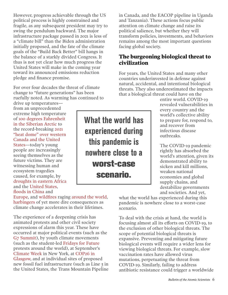However, progress achievable through the US political process is highly constrained and fragile, as any subsequent president may try to swing the pendulum backward. The major infrastructure package passed in 2021 is less of a "climate bill" than the Biden administration initially proposed, and the fate of the climate goals of the "Build Back Better" bill hangs in the balance of a starkly divided Congress. It thus is not yet clear how much progress the United States will make in the coming year toward its announced emissions reduction pledge and finance promise.

For over four decades the threat of climate change to "future generations" has been ruefully noted. As warming has continued to

drive up temperatures from an unprecedented extreme high temperature [of 100 degrees Fahrenheit](https://www.worldweatherattribution.org/siberian-heatwave-of-2020-almost-impossible-without-climate-change/)  [in the Siberian Arctic](https://www.worldweatherattribution.org/siberian-heatwave-of-2020-almost-impossible-without-climate-change/) to the record-breaking [2021](https://www.worldweatherattribution.org/western-north-american-extreme-heat-virtually-impossible-without-human-caused-climate-change/)  ["heat dome" over western](https://www.worldweatherattribution.org/western-north-american-extreme-heat-virtually-impossible-without-human-caused-climate-change/)  [Canada and the United](https://www.worldweatherattribution.org/western-north-american-extreme-heat-virtually-impossible-without-human-caused-climate-change/)  [States](https://www.worldweatherattribution.org/western-north-american-extreme-heat-virtually-impossible-without-human-caused-climate-change/)—today's young people are increasingly seeing themselves as the future victims. They are witnessing human and ecosystem tragedies caused, for example, by [droughts in eastern Africa](https://www.theguardian.com/science/audio/2021/dec/16/the-climate-crisis-and-devastating-drought-in-eastern-africa) and the [United States,](https://www.theguardian.com/us-news/2021/jun/18/us-heatwave-west-climate-crisis-drought) [floods in China](https://www.cnn.com/2021/07/23/china/china-flood-climate-change-mic-intl-hnk/index.html) and

[Europe](https://www.worldweatherattribution.org/heavy-rainfall-which-led-to-severe-flooding-in-western-europe-made-more-likely-by-climate-change/), and [wildfires](https://disasterphilanthropy.org/disaster/2021-north-american-wildfire-season/) raging [around the world,](https://www.theguardian.com/world/2021/aug/09/fires-rage-around-the-world-where-are-the-worst-blazes) [harbingers](https://www.washingtonpost.com/climate-environment/2021/12/13/thwaites-glacier-melt-antarctica/) of yet more dire consequences as climate change accelerates in their lifetimes.

The experience of a deepening crisis has animated protests and other civil society expressions of alarm this year. These have occurred at major political events (such as the [G7 Summit\)](https://www.nytimes.com/video/world/europe/100000007812405/g7-climate-protests.html), by youth climate movements (such as the student-led [Fridays for Future](https://fridaysforfuture.org/) protests around the world), at September's [Climate Week](https://www.climateweeknyc.org/) in New York, at [COP26 in](https://www.nytimes.com/live/2021/11/06/world/cop26-glasgow-climate-summit-protests)  [Glasgow,](https://www.nytimes.com/live/2021/11/06/world/cop26-glasgow-climate-summit-protests) and at individual sites of proposed new fossil fuel infrastructure (such as Line 3 in the United States, the Trans Mountain Pipeline

What the world has experienced during this pandemic is nowhere close to a **worst-case scenario.**

in Canada, and the EACOP pipeline in Uganda and Tanzania). These actions focus public attention on climate change and raise its political salience, but whether they will transform policies, investments, and behaviors remains among the most important questions facing global society.

### **The burgeoning biological threat to civilization**

For years, the United States and many other countries underinvested in defense against natural, accidental, and intentional biological threats. They also underestimated the impacts that a biological threat could have on the

entire world. COVID-19 revealed vulnerabilities in every country and the world's collective ability to prepare for, respond to, and recover from infectious disease outbreaks.

The COVID-19 pandemic rightly has absorbed the world's attention, given its demonstrated ability to sicken and kill millions, weaken national economies and global supply chains, and destabilize governments and societies. And yet,

what the world has experienced during this pandemic is nowhere close to a worst-case scenario.

To deal with the crisis at hand, the world is focusing almost all its efforts on COVID-19, to the exclusion of other biological threats. The scope of potential biological threats is expansive. Preventing and mitigating future biological events will require a wider lens for viewing biological threats. For example, slow vaccination rates have allowed virus mutations, perpetuating the threat from COVID-19. Similarly, failing to address antibiotic resistance could trigger a worldwide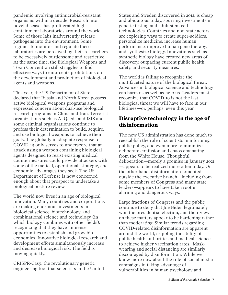pandemic involving antimicrobial-resistant organisms within a decade. Research into novel diseases has proliferated highcontainment laboratories around the world. Some of those labs inadvertently release pathogens into the environment. Some regimes to monitor and regulate these laboratories are perceived by their researchers to be excessively burdensome and restrictive. At the same time, the Biological Weapons and Toxin Convention still struggles to find effective ways to enforce its prohibitions on the development and production of biological agents and weapons.

This year, the US Department of State declared that Russia and North Korea possess active biological weapons programs and expressed concern about dual-use biological research programs in China and Iran. Terrorist organizations such as Al Qaeda and ISIS and some criminal organizations continue to profess their determination to build, acquire, and use biological weapons to achieve their goals. The globally inadequate response to COVID-19 only serves to underscore that an attack using a weapon containing biological agents designed to resist existing medical countermeasures could provide attackers with some of the tactical, operational, strategic, and economic advantages they seek. The US Department of Defense is now concerned enough about that prospect to undertake a biological posture review.

The world now lives in an age of biological innovation. Many countries and corporations are making enormous investments in biological science, biotechnology, and combinational science and technology (in which biology combines with other fields), recognizing that they have immense opportunities to establish and grow bioeconomies. Innovative biological research and development efforts simultaneously increase and decrease biological risk. The field is moving quickly.

CRISPR-Cas9, the revolutionary genetic engineering tool that scientists in the United

States and Sweden discovered in 2012, is cheap and ubiquitous today, spurring investments in genetic testing and adult stem cell technologies. Countries and non-state actors are exploring ways to create super-soldiers, personalize medicine, increase human performance, improve human gene therapy, and synthesize biology. Innovations such as synthetic biology have created new areas of discovery, outpacing current public health, safety, and security measures.

The world is failing to recognize the multifaceted nature of the biological threat. Advances in biological science and technology can harm us as well as help us. Leaders must recognize that COVID-19 is not the last biological threat we will have to face in our lifetimes—or, perhaps, even this year.

### **Disruptive technology in the age of disinformation**

The new US administration has done much to reestablish the role of scientists in informing public policy, and even more to minimize deliberate confusion and chaos emanating from the White House. Thoughtful deliberation—merely a promise in January 2021 —appears to be realized more often today. On the other hand, disinformation fomented outside the executive branch—including from some members of Congress and many state leaders—appears to have taken root in alarming and dangerous ways.

Large fractions of Congress and the public continue to deny that Joe Biden legitimately won the presidential election, and their views on these matters appear to be hardening rather than moderating. Similar trends regarding COVID-related disinformation are apparent around the world, crippling the ability of public health authorities and medical science to achieve higher vaccination rates. Maskwearing and social distancing are similarly discouraged by disinformation. While we know more now about the role of social media campaigns in taking advantage of vulnerabilities in human psychology and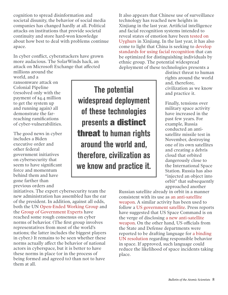cognition to spread disinformation and societal disunity, the behavior of social media companies has changed hardly at all. Political attacks on institutions that provide societal continuity and store hard-won knowledge about how best to deal with problems continue apace.

In cyber conflict, cyberattackers have grown more audacious. The SolarWinds hack, an attack on Microsoft Exchange that affected millions around the

world, and a ransomware attack on Colonial Pipeline (resolved only with the payment of \$4.4 million to get the system up and running again) all demonstrate the farreaching ramifications of cyber-vulnerabilities.

The good news in cyber includes a Biden executive order and other federal government initiatives on cybersecurity that seem to have significant force and momentum behind them and have gone farther than previous orders and

initiatives. The expert cybersecurity team the new administration has assembled has the ear of the president. In addition, against all odds, both the UN [Open-Ended Working Group](https://www.cfr.org/blog/unexpectedly-all-un-countries-agreed-cybersecurity-report-so-what) and the [Group of Government Experts](https://front.un-arm.org/wp-content/uploads/2021/08/A_76_135-2104030E-1.pdf) have reached some rough consensus on cyber norms of behavior. (The first group involves representatives from most of the world's nations; the latter includes the biggest players in cyber.) It remains to be seen whether these norms actually affect the behavior of national actors in cyberspace, but it is better to have these norms in place (or in the process of being formed and agreed to) than not to have them at all.

The potential widespread deployment of these technologies presents **a distinct threat** to human rights around the world and, therefore, civilization as we know and practice it.

It also appears that Chinese use of surveillance technology has reached new heights in Xinjiang in the last year. Artificial intelligence and facial recognition systems intended to reveal states of emotion have been [tested on](https://www.bbc.com/news/technology-57101248)  [Uyghurs](https://www.bbc.com/news/technology-57101248) in Xinjiang. In the last year, it has also come to light that China is seeking to [develop](https://www.reuters.com/article/us-china-tech-surveillance-trfn/china-found-using-surveillance-firms-to-help-write-ethnic-tracking-specs-idUSKBN2BM1EE)  [standards for using facial recognition](https://www.reuters.com/article/us-china-tech-surveillance-trfn/china-found-using-surveillance-firms-to-help-write-ethnic-tracking-specs-idUSKBN2BM1EE) that can be optimized for distinguishing individuals by ethnic group. The potential widespread deployment of these technologies presents a

distinct threat to human rights around the world and, therefore, civilization as we know and practice it.

Finally, tensions over military space activity have increased in the past few years. For example, Russia conducted an antisatellite missile test in November, destroying one of its own satellites and creating a debris cloud that orbited dangerously close to the International Space Station. Russia has also "injected an object into orbit" that subsequently approached another

Russian satellite already in orbit in a manner consistent with its use as [an anti-satellite](https://www.space.com/russia-tests-anti-satellite-weapon-in-space.html)  [weapon](https://www.space.com/russia-tests-anti-satellite-weapon-in-space.html). A similar activity has been used to follow a [US government satellite](https://www.space.com/russian-spacecraft-stalking-us-spy-satellite-space-force.html). Press reports have suggested that US Space Command is on the verge of disclosing [a new anti-satellite](https://breakingdefense.com/2021/08/what-satellite-attack-weapon-might-the-us-reveal-soon/)  [weapon](https://breakingdefense.com/2021/08/what-satellite-attack-weapon-might-the-us-reveal-soon/). On the other hand, US officials from the State and Defense departments were reported to be drafting language for [a binding](https://www.armscontrol.org/act/2021-04/news/us-advocates-binding-rules-behavior-space)  [UN resolution](https://www.armscontrol.org/act/2021-04/news/us-advocates-binding-rules-behavior-space) regarding responsible behavior in space. If approved, such language could reduce the likelihood of space incidents taking place.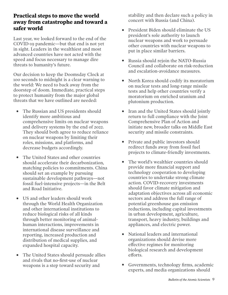### **Practical steps to move the world away from catastrophe and toward a safer world**

Last year, we looked forward to the end of the COVID-19 pandemic—but that end is not yet in sight. Leaders in the wealthiest and most advanced countries have not acted with the speed and focus necessary to manage dire threats to humanity's future.

Our decision to keep the Doomsday Clock at 100 seconds to midnight is a clear warning to the world: We need to back away from the doorstep of doom. Immediate, practical steps to protect humanity from the major global threats that we have outlined are needed:

- The Russian and US presidents should identify more ambitious and comprehensive limits on nuclear weapons and delivery systems by the end of 2022. They should both agree to reduce reliance on nuclear weapons by limiting their roles, missions, and platforms, and decrease budgets accordingly.
- The United States and other countries should accelerate their decarbonization, matching policies to commitments. China should set an example by pursuing sustainable development pathways—not fossil fuel-intensive projects—in the Belt and Road Initiative.
- US and other leaders should work through the World Health Organization and other international institutions to reduce biological risks of all kinds through better monitoring of animalhuman interactions, improvements in international disease surveillance and reporting, increased production and distribution of medical supplies, and expanded hospital capacity.
- The United States should persuade allies and rivals that no-first-use of nuclear weapons is a step toward security and

stability and then declare such a policy in concert with Russia (and China).

- President Biden should eliminate the US president's sole authority to launch nuclear weapons and work to persuade other countries with nuclear weapons to put in place similar barriers.
- Russia should rejoin the NATO-Russia Council and collaborate on risk-reduction and escalation-avoidance measures.
- North Korea should codify its moratorium on nuclear tests and long-range missile tests and help other countries verify a moratorium on enriched uranium and plutonium production.
- Iran and the United States should jointly return to full compliance with the Joint Comprehensive Plan of Action and initiate new, broader talks on Middle East security and missile constraints.
- Private and public investors should redirect funds away from fossil fuel projects to climate-friendly investments.
- The world's wealthier countries should provide more financial support and technology cooperation to developing countries to undertake strong climate action. COVID-recovery investments should favor climate mitigation and adaptation objectives across all economic sectors and address the full range of potential greenhouse gas emission reductions, including capital investments in urban development, agriculture, transport, heavy industry, buildings and appliances, and electric power.
- National leaders and international organizations should devise more effective regimes for monitoring biological research and development efforts.
- Governments, technology firms, academic experts, and media organizations should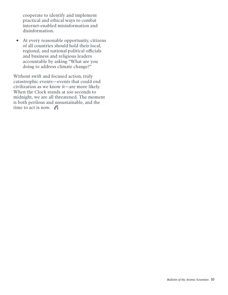cooperate to identify and implement practical and ethical ways to combat internet-enabled misinformation and disinformation.

• At every reasonable opportunity, citizens of all countries should hold their local, regional, and national political officials and business and religious leaders accountable by asking "What are you doing to address climate change?"

Without swift and focused action, truly catastrophic events—events that could end civilization as we know it—are more likely. When the Clock stands at 100 seconds to midnight, we are all threatened. The moment is both perilous and unsustainable, and the time to act is now.  $f_i$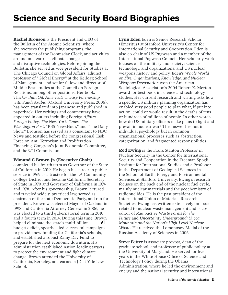**Rachel Bronson** is the President and CEO of the Bulletin of the Atomic Scientists, where she oversees the publishing programs, the management of the Doomsday Clock, and activities around nuclear risk, climate change, and disruptive technologies. Before joining the Bulletin, she served as vice president for Studies at The Chicago Council on Global Affairs, adjunct professor of "Global Energy" at the Kellogg School of Management, and senior fellow and director of Middle East studies at the Council on Foreign Relations, among other positions. Her book, *Thicker than Oil: America's Uneasy Partnership with Saudi Arabia* (Oxford University Press, 2006), has been translated into Japanese and published in paperback. Her writings and commentary have appeared in outlets including F*oreign Affairs, Foreign Policy, The New York Times, The Washington Post*, "PBS NewsHour," and "The Daily Show." Bronson has served as a consultant to NBC News and testified before the congressional Task Force on Anti-Terrorism and Proliferation Financing, Congress's Joint Economic Committee, and the 9/11 Commission.

#### **Edmund G Brown Jr. (Executive Chair)**

completed his fourth term as Governor of the State of California in 2019. He began his career in public service in 1969 as a trustee for the LA Community College District and became California Secretary of State in 1970 and Governor of California in 1974 and 1978. After his governorship, Brown lectured and traveled widely, practiced law, served as chairman of the state Democratic Party, and ran for president. Brown was elected Mayor of Oakland in 1998 and California Attorney General in 2006; he was elected to a third gubernatorial term in 2010 and a fourth term in 2014. During this time, Brown G helped eliminate the state's multi-billion budget deficit, spearheaded successful campaigns to provide new funding for California's schools, and established a robust Rainy Day Fund to prepare for the next economic downturn. His administration established nation-leading targets to protect the environment and fight climate change. Brown attended the University of California, Berkeley, and earned a JD at Yale Law School.

**Lynn Eden** Eden is Senior Research Scholar (Emeritus) at Stanford University's Center for International Security and Cooperation. Eden is also co-chair of US Pugwash and a member of the International Pugwash Council. Her scholarly work focuses on the military and society; science, technology, and organizations; and US nuclear weapons history and policy. Eden's *Whole World on Fire: Organizations, Knowledge, and Nuclear Weapons Devastation* won the American Sociological Association's 2004 Robert K. Merton award for best book in science and technology studies. Her current research and writing asks how a specific US military planning organization has enabled very good people to plan what, if put into action, could or would result in the deaths of tens or hundreds of millions of people. In other words, how do US military officers make plans to fight and prevail in nuclear war? The answer lies not in individual psychology but in common organizational processes such as abstraction, categorization, and fragmented responsibilities.

**Rod Ewing** is the Frank Stanton Professor in Nuclear Security in the Center for International Security and Cooperation in the Freeman Spogli Institute for International Studies and a Professor in the Department of Geological Sciences in the School of Earth, Energy and Environmental Sciences at Stanford University. Ewing's research focuses on the back end of the nuclear fuel cycle, mainly nuclear materials and the geochemistry of radionuclides. He is the past president of the International Union of Materials Research Societies. Ewing has written extensively on issues related to nuclear waste management and is coeditor of *Radioactive Waste Forms for the Future* and *Uncertainty Underground: Yucca Mountain and the Nation's High-Level Nuclear Waste*. He received the Lomonosov Medal of the Russian Academy of Sciences in 2006.

**Steve Fetter** is associate provost, dean of the graduate school, and professor of public policy at the University of Maryland. He served for five years in the White House Office of Science and Technology Policy during the Obama Administration, where he led the environment and energy and the national security and international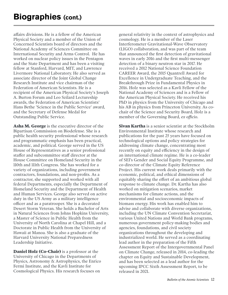affairs divisions. He is a fellow of the American Physical Society and a member of the Union of Concerned Scientists board of directors and the National Academy of Sciences Committee on International Security and Arms Control. He has worked on nuclear policy issues in the Pentagon and the State Department and has been a visiting fellow at Stanford, Harvard, MIT, and Lawrence Livermore National Laboratory. He also served as associate director of the Joint Global Change Research Institute and vice chairman of the Federation of American Scientists. He is a recipient of the American Physical Society's Joseph A. Burton Forum and Leo Szilard Lectureship awards, the Federation of American Scientists' Hans Bethe 'Science in the Public Service' award, and the Secretary of Defense Medal for Outstanding Public Service.

**Asha M. George** is the executive director of the Bipartisan Commission on Biodefense. She is a public health security professional whose research and programmatic emphasis has been practical, academic, and political. George served in the US House of Representatives as a senior professional staffer and subcommittee staff director at the House Committee on Homeland Security in the 110th and 111th Congress. She has worked for a variety of organizations, including government contractors, foundations, and non-profits. As a contractor, she supported and worked with all federal Departments, especially the Department of Homeland Security and the Department of Health and Human Services. George also served on active duty in the US Army as a military intelligence officer and as a paratrooper. She is a decorated Desert Storm Veteran. She holds a Bachelor of Arts in Natural Sciences from Johns Hopkins University, a Master of Science in Public Health from the University of North Carolina at Chapel Hill, and a Doctorate in Public Health from the University of Hawaii at Manoa. She is also a graduate of the Harvard University National Preparedness Leadership Initiative.

**Daniel Holz (Co-Chair)** is a professor at the University of Chicago in the Departments of Physics, Astronomy & Astrophysics, the Enrico Fermi Institute, and the Kavli Institute for Cosmological Physics. His research focuses on

general relativity in the context of astrophysics and cosmology. He is a member of the Laser Interferometer Gravitational-Wave Observatory (LIGO) collaboration, and was part of the team that announced the first detection of gravitational waves in early 2016 and the first multi-messenger detection of a binary neutron star in 2017. He received a 2012 National Science Foundation CAREER Award, the 2015 Quantrell Award for Excellence in Undergraduate Teaching, and the Breakthrough Prize in Fundamental Physics in 2016. Holz was selected as a Kavli Fellow of the National Academy of Sciences and is a Fellow of the American Physical Society. He received his PhD in physics from the University of Chicago and his AB in physics from Princeton University. As cochair of the Science and Security Board, Holz is a member of the Governing Board, *ex officio*.

**Sivan Kartha** is a senior scientist at the Stockholm Environmental Institute whose research and publications for the past 25 years have focused on technological options and policy strategies for addressing climate change, concentrating most recently on equity and efficiency in the design of an international climate regime. He is a co-leader of SEI's Gender and Social Equity Programme, and co-director of the Climate Equity Reference Project. His current work deals primarily with the economic, political, and ethical dimensions of equitably sharing the effort of an ambitious global response to climate change. Dr. Kartha has also worked on mitigation scenarios, market mechanisms for climate actions, and the environmental and socioeconomic impacts of biomass energy. His work has enabled him to advise and collaborate with diverse organizations, including the UN Climate Convention Secretariat, various United Nations and World Bank programs, numerous government policy-making bodies and agencies, foundations, and civil society organizations throughout the developing and industrialized world. He served as a coordinating lead author in the preparation of the Fifth Assessment Report of the Intergovernmental Panel on Climate Change, released in 2014, co-leading the chapter on Equity and Sustainable Development, and has been selected as a lead author for the upcoming IPCC Sixth Assessment Report, to be released in 2021.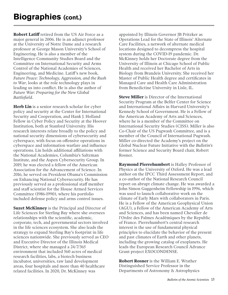**Robert Latiff** retired from the US Air Force as a major general in 2006. He is an adjunct professor at the University of Notre Dame and a research professor at George Mason University's School of Engineering. He is also a member of the Intelligence Community Studies Board and the Committee on International Security and Arms Control of the National Academies of Sciences, Engineering, and Medicine. Latiff's new book, *Future Peace: Technology, Aggression, and the Rush to War*, looks at the role technology plays in leading us into conflict. He is also the author of *Future War: Preparing for the New Global Battlefield*.

**Herb Lin** is a senior research scholar for cyber policy and security at the Center for International Security and Cooperation, and Hank J. Holland Fellow in Cyber Policy and Security at the Hoover Institution, both at Stanford University. His research interests relate broadly to the policy and national security dimensions of cybersecurity and cyberspace, with focus on offensive operations in cyberspace and information warfare and influence operations. Lin holds additional affiliations with the National Academies, Columbia's Saltzman Institute, and the Aspen Cybersecurity Group. In 2019, he was elected a fellow of the American Association for the Advancement of Science. In 2016, he served on President Obama's Commission on Enhancing National Cybersecurity. He has previously served as a professional staff member and staff scientist for the House Armed Services Committee (1986-1990), where his portfolio included defense policy and arms control issues.

**Suzet McKinney** is the Principal and Director of Life Sciences for Sterling Bay where she oversees relationships with the scientific, academic, corporate, tech, and governmental sectors involved in the life sciences ecosystem. She also leads the strategy to expand Sterling Bay's footprint in life sciences nationwide. She previously served as CEO and Executive Director of the Illinois Medical District, where she managed a 24/7/365 environment that included 560 acres of medical research facilities, labs, a biotech business incubator, universities, raw land development areas, four hospitals and more than 40 healthcare related facilities. In 2020, Dr. McKinney was

appointed by Illinois Governor JB Pritzker as Operations Lead for the State of Illinois' Alternate Care Facilities, a network of alternate medical locations designed to decompress the hospital system during the COVID-19 pandemic. Dr. McKinney holds her Doctorate degree from the University of Illinois at Chicago School of Public Health and received her Bachelor of Arts in Biology from Brandeis University. She received her Master of Public Health degree and certificates in Managed Care and Health Care Administration from Benedictine University in Lisle, IL.

**Steve Miller** is Director of the International Security Program at the Belfer Center for Science and International Affairs in Harvard University's Kennedy School of Government. He is a Fellow of the American Academy of Arts and Sciences, where he is a member of the Committee on International Security Studies (CISS). Miller is also Co-Chair of the US Pugwash Committee, and is a member of the Council of International Pugwash. Miller co-directed the Academy's project on the Global Nuclear Future Initiative with the *Bulletin's* former Science and Security Board chair, Robert Rosner.

**Raymond Pierrehumbert** is Halley Professor of Physics at the University of Oxford. He was a lead author on the IPCC Third Assessment Report, and a co-author of the National Research Council report on abrupt climate change. He was awarded a John Simon Guggenheim Fellowship in 1996, which was used to launch collaborative work on the climate of Early Mars with collaborators in Paris. He is a Fellow of the American Geophysical Union (AGU), a Fellow of the American Academy of Arts and Sciences, and has been named Chevalier de l'Ordre des Palmes Académiques by the Republic of France. Pierrehumbert's central research interest is the use of fundamental physical principles to elucidate the behavior of the present and past climates of Earth and other planets, including the growing catalog of exoplanets. He leads the European Research Council Advance Grant project EXOCONDENSE.

**Robert Rosner** is the William E. Wrather Distinguished Service Professor in the Departments of Astronomy & Astrophysics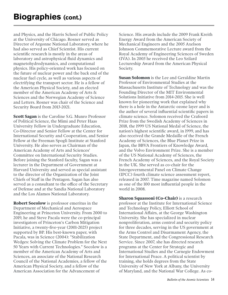and Physics, and the Harris School of Public Policy at the University of Chicago. Rosner served as Director of Argonne National Laboratory, where he had also served as Chief Scientist. His current scientific research is mostly in the areas of laboratory and astrophysical fluid dynamics and magnetohydrodynamics, and computational physics. His policy-oriented work has focused on the future of nuclear power and the back end of the nuclear fuel cycle, as well as various aspects of electrifying the transport sector. He is a fellow of the American Physical Society, and an elected member of the American Academy of Arts & Sciences and the Norwegian Academy of Science and Letters. Rosner was chair of the Science and Security Board from 2013-2021.

**Scott Sagan** is the Caroline S.G. Munro Professor of Political Science, the Mimi and Peter Haas University Fellow in Undergraduate Education, Co-Director and Senior Fellow at the Center for International Security and Cooperation, and Senior Fellow at the Freeman Spogli Institute at Stanford University. He also serves as Chairman of the American Academy of Arts and Sciences' Committee on International Security Studies. Before joining the Stanford faculty, Sagan was a lecturer in the Department of Government at Harvard University and served as special assistant to the director of the Organization of the Joint Chiefs of Staff in the Pentagon. Sagan has also served as a consultant to the office of the Secretary of Defense and at the Sandia National Laboratory and the Los Alamos National Laboratory.

**Robert Socolow** is professor emeritus in the Department of Mechanical and Aerospace Engineering at Princeton University. From 2000 to 2019, he and Steve Pacala were the co-principal investigators of Princeton's Carbon Mitigation Initiative, a twenty-five-year (2001-2025) project supported by BP. His best-known paper, with Pacala, was in Science (2004): "Stabilization Wedges: Solving the Climate Problem for the Next 50 Years with Current Technologies." Socolow is a member of the American Academy of Arts and Sciences, an associate of the National Research Council of the National Academies, a fellow of the American Physical Society, and a fellow of the American Association for the Advancement of

Science. His awards include the 2009 Frank Kreith Energy Award from the American Society of Mechanical Engineers and the 2005 Axelson Johnson Commemorative Lecture award from the Royal Academy of Engineering Sciences of Sweden (IVA). In 2003 he received the Leo Szilard Lectureship Award from the American Physical Society.

**Susan Solomon** is the Lee and Geraldine Martin Professor of Environmental Studies at the Massachusetts Institute of Technology and was the Founding Director of the MIT Environmental Solutions Initiative from 2014-2015. She is well known for pioneering work that explained why there is a hole in the Antarctic ozone layer and is the author of several influential scientific papers in climate science. Solomon received the Crafoord Prize from the Swedish Academy of Sciences in 2018, the 1999 US National Medal of Science, the nation's highest scientific award, in 1999, and has also received the Grande Medaille of the French Academy of Sciences, the Blue Planet Prize in Japan, the BBVA Frontiers of Knowledge Award, and the Volvo Environment Prize. She is a member of the US National Academy of Sciences, the French Academy of Sciences, and the Royal Society in the UK. She served as co-chair for the Intergovernmental Panel on Climate Change (IPCC) fourth climate science assessment report, released in 2007. Time magazine named Solomon as one of the 100 most influential people in the world in 2008.

**Sharon Squassoni (Co-Chair)** is a research professor at the Institute for International Science and Technology Policy, Elliott School of International Affairs, at the George Washington University. She has specialized in nuclear nonproliferation, arms control and security policy for three decades, serving in the US government at the Arms Control and Disarmament Agency, the State Department, and the Congressional Research Service. Since 2007, she has directed research programs at the Center for Strategic and International Studies and the Carnegie Endowment for International Peace. A political scientist by training, she holds degrees from the State University of New York at Albany, the University of Maryland, and the National War College. As co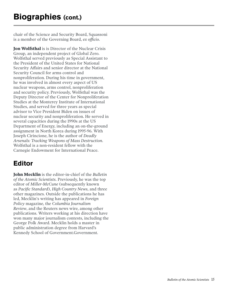chair of the Science and Security Board, Squassoni is a member of the Governing Board, *ex officio*.

**Jon Wolfsthal** is is Director of the Nuclear Crisis Group, an independent project of Global Zero. Wolfsthal served previously as Special Assistant to the President of the United States for National Security Affairs and senior director at the National Security Council for arms control and nonproliferation. During his time in government, he was involved in almost every aspect of US nuclear weapons, arms control, nonproliferation and security policy. Previously, Wolfsthal was the Deputy Director of the Center for Nonproliferation Studies at the Monterey Institute of International Studies, and served for three years as special advisor to Vice President Biden on issues of nuclear security and nonproliferation. He served in several capacities during the 1990s at the US Department of Energy, including an on-the-ground assignment in North Korea during 1995-96. With Joseph Cirincione, he is the author of *Deadly Arsenals: Tracking Weapons of Mass Destruction*. Wolfsthal is a non-resident fellow with the Carnegie Endowment for International Peace.

### **Editor**

**John Mecklin** is the editor-in-chief of the *Bulletin of the Atomic Scientists*. Previously, he was the top editor of *Miller-McCune* (subsequently known as *Pacific Standard*), *High Country News*, and three other magazines. Outside the publications he has led, Mecklin's writing has appeared in *Foreign Policy* magazine, the *Columbia Journalism Review*, and the Reuters news wire, among other publications. Writers working at his direction have won many major journalism contests, including the George Polk Award. Mecklin holds a master in public administration degree from Harvard's Kennedy School of Government.Government.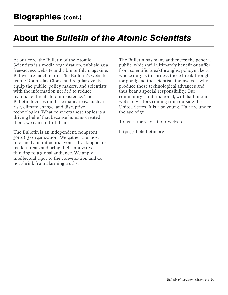## **About the** *Bulletin of the Atomic Scientists*

At our core, the Bulletin of the Atomic Scientists is a media organization, publishing a free-access website and a bimonthly magazine. But we are much more. The Bulletin's website, iconic Doomsday Clock, and regular events equip the public, policy makers, and scientists with the information needed to reduce manmade threats to our existence. The Bulletin focuses on three main areas: nuclear risk, climate change, and disruptive technologies. What connects these topics is a driving belief that because humans created them, we can control them.

The Bulletin is an independent, nonprofit  $501(c)(3)$  organization. We gather the most informed and influential voices tracking manmade threats and bring their innovative thinking to a global audience. We apply intellectual rigor to the conversation and do not shrink from alarming truths.

The Bulletin has many audiences: the general public, which will ultimately benefit or suffer from scientific breakthroughs; policymakers, whose duty is to harness those breakthroughs for good; and the scientists themselves, who produce those technological advances and thus bear a special responsibility. Our community is international, with half of our website visitors coming from outside the United States. It is also young. Half are under the age of 35.

To learn more, visit our website:

<https://thebulletin.org>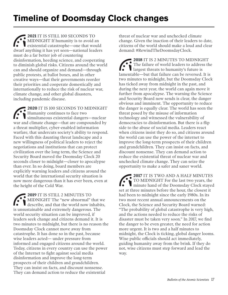**2021** IT IS STILL 100 SECONDS TO MIDNIGHT If humanity is to avoid an existential catastrophe—one that would dwarf anything it has yet seen—national leaders must do a far better job of countering disinformation, heeding science, and cooperating to diminish global risks. Citizens around the world can and should organize and demand—through public protests, at ballot boxes, and in other creative ways—that their governments reorder their priorities and cooperate domestically and internationally to reduce the risk of nuclear war, climate change, and other global disasters, including pandemic disease.

**2020** IT IS 100 SECONDS TO MIDNIGHT Humanity continues to face two simultaneous existential dangers—nuclear war and climate change—that are compounded by a threat multiplier, cyber-enabled information warfare, that undercuts society's ability to respond. Faced with this daunting threat landscape and a new willingness of political leaders to reject the negotiations and institutions that can protect civilization over the long term, the Science and Security Board moved the Doomsday Clock 20 seconds closer to midnight—closer to apocalypse than ever. In so doing, board members are explicitly warning leaders and citizens around the world that the international security situation is now more dangerous than it has ever been, even at the height of the Cold War.

**2019** IT IS STILL 2 MINUTES TO MIDNIGHT The "new abnormal" that we describe, and that the world now inhabits, is unsustainable and extremely dangerous. The world security situation can be improved, if leaders seek change and citizens demand it. It is two minutes to midnight, but there is no reason the Doomsday Clock cannot move away from catastrophe. It has done so in the past, because wise leaders acted— under pressure from informed and engaged citizens around the world. Today, citizens in every country can use the power of the Internet to fight against social media disinformation and improve the long-term prospects of their children and grandchildren. They can insist on facts, and discount nonsense. They can demand action to reduce the existential

threat of nuclear war and unchecked climate change. Given the inaction of their leaders to date, citizens of the world should make a loud and clear demand: #RewindTheDoomsdayClock.

**2018** IT IS 2 MINUTES TO MIDNIGHT The failure of world leaders to address the largest threats to humanity's future is lamentable—but that failure can be reversed. It is two minutes to midnight, but the Doomsday Clock has ticked away from midnight in the past, and during the next year, the world can again move it further from apocalypse. The warning the Science and Security Board now sends is clear, the danger obvious and imminent. The opportunity to reduce the danger is equally clear. The world has seen the threat posed by the misuse of information technology and witnessed the vulnerability of democracies to disinformation. But there is a flip side to the abuse of social media. Leaders react when citizens insist they do so, and citizens around the world can use the power of the internet to improve the long-term prospects of their children and grandchildren. They can insist on facts, and discount nonsense. They can demand action to reduce the existential threat of nuclear war and unchecked climate change. They can seize the opportunity to make a safer and saner world.

**2017** IT IS TWO AND A HALF MINUTES TO MIDNIGHT For the last two years, the minute hand of the Doomsday Clock stayed set at three minutes before the hour, the closest it had been to midnight since the early 1980s. In its two most recent annual announcements on the Clock, the Science and Security Board warned: "The probability of global catastrophe is very high, and the actions needed to reduce the risks of disaster must be taken very soon." In 2017, we find the danger to be even greater, the need for action more urgent. It is two and a half minutes to midnight, the Clock is ticking, global danger looms. Wise public officials should act immediately, guiding humanity away from the brink. If they do not, wise citizens must step forward and lead the way.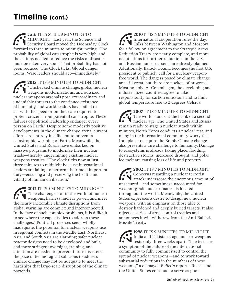**2016** IT IS STILL 3 MINUTES TO MIDNIGHT "Last year, the Science and Security Board moved the Doomsday Clock forward to three minutes to midnight, noting: 'The probability of global catastrophe is very high, and the actions needed to reduce the risks of disaster must be taken very soon.' That probability has not been reduced. The Clock ticks. Global danger looms. Wise leaders should act—immediately."

**2015** IT IS 3 MINUTES TO MIDNIGHT "Unchecked climate change, global nuclear weapons modernizations, and outsized nuclear weapons arsenals pose extraordinary and undeniable threats to the continued existence of humanity, and world leaders have failed to act with the speed or on the scale required to protect citizens from potential catastrophe. These failures of political leadership endanger every person on Earth." Despite some modestly positive developments in the climate change arena, current efforts are entirely insufficient to prevent a catastrophic warming of Earth. Meanwhile, the United States and Russia have embarked on massive programs to modernize their nuclear triads—thereby undermining existing nuclear weapons treaties. "The clock ticks now at just three minutes to midnight because international leaders are failing to perform their most important duty—ensuring and preserving the health and vitality of human civilization."

**2012** IT IS 5 MINUTES TO MIDNIGHT "The challenges to rid the world of nuclear weapons, harness nuclear power, and meet the nearly inexorable climate disruptions from global warming are complex and interconnected. In the face of such complex problems, it is difficult to see where the capacity lies to address these challenges." Political processes seem wholly inadequate; the potential for nuclear weapons use in regional conflicts in the Middle East, Northeast Asia, and South Asia are alarming; safer nuclear reactor designs need to be developed and built, and more stringent oversight, training, and attention are needed to prevent future disasters; the pace of technological solutions to address climate change may not be adequate to meet the hardships that large-scale disruption of the climate portends.

**2010** IT IS 6 MINUTES TO MIDNIGHT International cooperation rules the day. **Talks between Washington and Moscow** for a follow-on agreement to the Strategic Arms Reduction Treaty are nearly complete, and more negotiations for further reductions in the U.S. and Russian nuclear arsenal are already planned. Additionally, Barack Obama becomes the first U.S. president to publicly call for a nuclear-weaponfree world. The dangers posed by climate change are still great, but there are pockets of progress. Most notably: At Copenhagen, the developing and industrialized countries agree to take responsibility for carbon emissions and to limit global temperature rise to 2 degrees Celsius.

**2007** IT IS 5 MINUTES TO MIDNIGHT The world stands at the brink of a second nuclear age. The United States and Russia remain ready to stage a nuclear attack within minutes, North Korea conducts a nuclear test, and many in the international community worry that Iran plans to acquire the Bomb. Climate change also presents a dire challenge to humanity. Damage to ecosystems is already taking place; flooding, destructive storms, increased drought, and polar ice melt are causing loss of life and property.

**2002** IT IS 7 MINUTES TO MIDNIGHT Concerns regarding a nuclear terrorist attack underscore the enormous amount of unsecured—and sometimes unaccounted for weapon-grade nuclear materials located throughout the world. Meanwhile, the United States expresses a desire to design new nuclear weapons, with an emphasis on those able to destroy hardened and deeply buried targets. It also rejects a series of arms control treaties and announces it will withdraw from the Anti-Ballistic Missile Treaty.

**1998** IT IS 9 MINUTES TO MIDNIGHT India and Pakistan stage nuclear weapons tests only three weeks apart. "The tests are a symptom of the failure of the international community to fully commit itself to control the spread of nuclear weapons—and to work toward substantial reductions in the numbers of these weapons," a dismayed *Bulletin* reports. Russia and the United States continue to serve as poor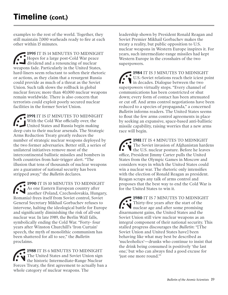examples to the rest of the world. Together, they still maintain 7,000 warheads ready to fire at each other within 15 minutes.

**1995** IT IS 14 MINUTES TO MIDNIGHT Hopes for a large post-Cold War peace dividend and a renouncing of nuclear weapons fade. Particularly in the United States, hard-liners seem reluctant to soften their rhetoric or actions, as they claim that a resurgent Russia could provide as much of a threat as the Soviet Union. Such talk slows the rollback in global nuclear forces; more than 40,000 nuclear weapons remain worldwide. There is also concern that terrorists could exploit poorly secured nuclear facilities in the former Soviet Union.

**1991** IT IS 17 MINUTES TO MIDNIGHT With the Cold War officially over, the United States and Russia begin making deep cuts to their nuclear arsenals. The Strategic Arms Reduction Treaty greatly reduces the number of strategic nuclear weapons deployed by the two former adversaries. Better still, a series of unilateral initiatives remove most of the intercontinental ballistic missiles and bombers in both countries from hair-trigger alert. "The illusion that tens of thousands of nuclear weapons are a guarantor of national security has been stripped away," the *Bulletin* declares.

**1990** IT IS 10 MINUTES TO MIDNIGHT As one Eastern European country after another (Poland, Czechoslovakia, Hungary, Romania) frees itself from Soviet control, Soviet General Secretary Mikhail Gorbachev refuses to intervene, halting the ideological battle for Europe and significantly diminishing the risk of all-out nuclear war. In late 1989, the Berlin Wall falls, symbolically ending the Cold War. "Forty- four years after Winston Churchill's 'Iron Curtain' speech, the myth of monolithic communism has been shattered for all to see," the *Bulletin*  proclaims.

**1988** IT IS 6 MINUTES TO MIDNIGHT The United States and Soviet Union sign the historic Intermediate-Range Nuclear Forces Treaty, the first agreement to actually ban a whole category of nuclear weapons. The

leadership shown by President Ronald Reagan and Soviet Premier Mikhail Gorbachev makes the treaty a reality, but public opposition to U.S. nuclear weapons in Western Europe inspires it. For years, such intermediate-range missiles had kept Western Europe in the crosshairs of the two superpowers.

**1984** IT IS 3 MINUTES TO MIDNIGHT U.S.-Soviet relations reach their iciest point **in decades.** Dialogue between the two superpowers virtually stops. "Every channel of communications has been constricted or shut down; every form of contact has been attenuated or cut off. And arms control negotiations have been reduced to a species of propaganda," a concerned *Bulletin* informs readers. The United States seems to flout the few arms control agreements in place by seeking an expansive, space-based anti-ballistic missile capability, raising worries that a new arms race will begin.

**1981** IT IS 4 MINUTES TO MIDNIGHT The Soviet invasion of Afghanistan hardens the U.S. nuclear posture. Before he leaves office, President Jimmy Carter pulls the United States from the Olympic Games in Moscow and considers ways in which the United States could win a nuclear war. The rhetoric only intensifies with the election of Ronald Reagan as president. Reagan scraps any talk of arms control and proposes that the best way to end the Cold War is for the United States to win it.

**1980** IT IS 7 MINUTES TO MIDNIGHT Thirty-five years after the start of the nuclear age and after some promising disarmament gains, the United States and the Soviet Union still view nuclear weapons as an integral component of their national security. This stalled progress discourages the *Bulletin*: "[The Soviet Union and United States have] been behaving like what may best be described as 'nucleoholics'—drunks who continue to insist that the drink being consumed is positively 'the last one,' but who can always find a good excuse for 'just one more round.'"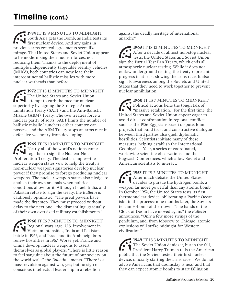**1974** IT IS 9 MINUTES TO MIDNIGHT South Asia gets the Bomb, as India tests its first nuclear device. And any gains in previous arms control agreements seem like a mirage. The United States and Soviet Union appear to be modernizing their nuclear forces, not reducing them. Thanks to the deployment of multiple independently targetable reentry vehicles (MIRV), both countries can now load their intercontinental ballistic missiles with more nuclear warheads than before.

**1972** IT IS 12 MINUTES TO MIDNIGHT The United States and Soviet Union attempt to curb the race for nuclear superiority by signing the Strategic Arms Limitation Treaty (SALT) and the Anti-Ballistic Missile (ABM) Treaty. The two treaties force a nuclear parity of sorts. SALT limits the number of ballistic missile launchers either country can possess, and the ABM Treaty stops an arms race in defensive weaponry from developing.

**1969** IT IS 10 MINUTES TO MIDNIGHT Nearly all of the world's nations come together to sign the Nuclear Non-Proliferation Treaty. The deal is simple—the nuclear weapon states vow to help the treaty's non-nuclear weapon signatories develop nuclear power if they promise to forego producing nuclear weapons. The nuclear weapon states also pledge to abolish their own arsenals when political conditions allow for it. Although Israel, India, and Pakistan refuse to sign the treaty, the *Bulletin* is cautiously optimistic: "The great powers have made the first step. They must proceed without delay to the next one—the dismantling, gradually, of their own oversized military establishments."

**1968** IT IS 7 MINUTES TO MIDNIGHT Regional wars rage. U.S. involvement in Vietnam intensifies, India and Pakistan battle in 1965, and Israel and its Arab neighbors renew hostilities in 1967. Worse yet, France and China develop nuclear weapons to assert themselves as global players. "There is little reason to feel sanguine about the future of our society on the world scale," the *Bulletin* laments. "There is a mass revulsion against war, yes; but no sign of conscious intellectual leadership in a rebellion

against the deadly heritage of international anarchy."

**1963** IT IS 12 MINUTES TO MIDNIGHT After a decade of almost non-stop nuclear tests, the United States and Soviet Union sign the Partial Test Ban Treaty, which ends all atmospheric nuclear testing. While it does not outlaw underground testing, the treaty represents progress in at least slowing the arms race. It also signals awareness among the Soviets and United States that they need to work together to prevent nuclear annihilation.

**1960** IT IS 7 MINUTES TO MIDNIGHT Political actions belie the tough talk of "massive retaliation." For the first time, the United States and Soviet Union appear eager to avoid direct confrontation in regional conflicts such as the 1956 Egyptian-Israeli dispute. Joint projects that build trust and constructive dialogue between third parties also quell diplomatic hostilities. Scientists initiate many of these measures, helping establish the International Geophysical Year, a series of coordinated, worldwide scientific observations, and the Pugwash Conferences, which allow Soviet and American scientists to interact.

**1953** IT IS 2 MINUTES TO MIDNIGHT After much debate, the United States decides to pursue the hydrogen bomb, a weapon far more powerful than any atomic bomb. In October 1952, the United States tests its first thermonuclear device, obliterating a Pacific Ocean islet in the process; nine months later, the Soviets test an H-bomb of their own. "The hands of the Clock of Doom have moved again," the *Bulletin*  announces. "Only a few more swings of the pendulum, and, from Moscow to Chicago, atomic explosions will strike midnight for Western civilization."

**1949** IT IS 3 MINUTES TO MIDNIGHT The Soviet Union denies it, but in the fall, President Harry Truman tells the American public that the Soviets tested their first nuclear device, officially starting the arms race. "We do not advise Americans that doomsday is near and that they can expect atomic bombs to start falling on